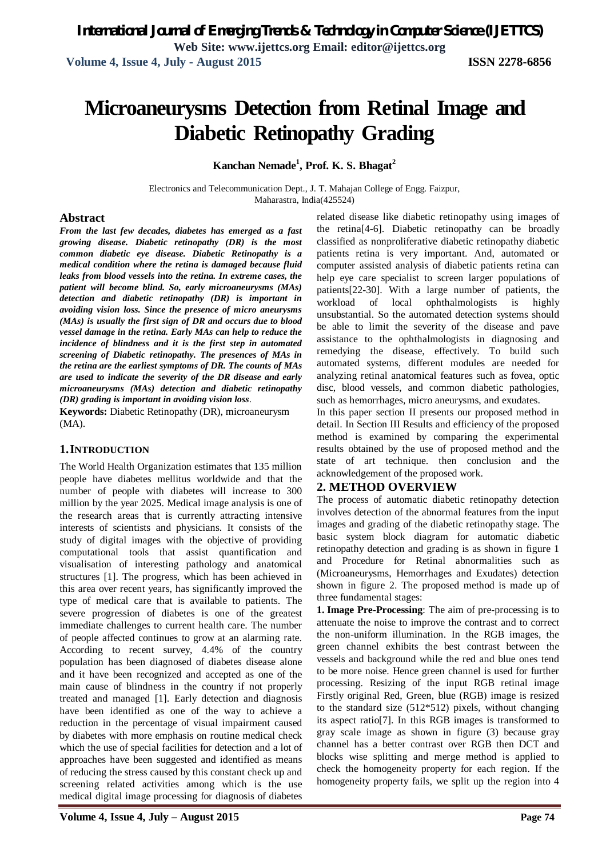# **Microaneurysms Detection from Retinal Image and Diabetic Retinopathy Grading**

## **Kanchan Nemade<sup>1</sup> , Prof. K. S. Bhagat<sup>2</sup>**

Electronics and Telecommunication Dept., J. T. Mahajan College of Engg. Faizpur, Maharastra, India(425524)

#### **Abstract**

*From the last few decades, diabetes has emerged as a fast growing disease. Diabetic retinopathy (DR) is the most common diabetic eye disease. Diabetic Retinopathy is a medical condition where the retina is damaged because fluid leaks from blood vessels into the retina. In extreme cases, the patient will become blind. So, early microaneurysms (MAs) detection and diabetic retinopathy (DR) is important in avoiding vision loss. Since the presence of micro aneurysms (MAs) is usually the first sign of DR and occurs due to blood vessel damage in the retina. Early MAs can help to reduce the incidence of blindness and it is the first step in automated screening of Diabetic retinopathy. The presences of MAs in the retina are the earliest symptoms of DR. The counts of MAs are used to indicate the severity of the DR disease and early microaneurysms (MAs) detection and diabetic retinopathy (DR) grading is important in avoiding vision loss*.

**Keywords:** Diabetic Retinopathy (DR), microaneurysm (MA).

#### **1.INTRODUCTION**

The World Health Organization estimates that 135 million people have diabetes mellitus worldwide and that the number of people with diabetes will increase to 300 million by the year 2025. Medical image analysis is one of the research areas that is currently attracting intensive interests of scientists and physicians. It consists of the study of digital images with the objective of providing computational tools that assist quantification and visualisation of interesting pathology and anatomical structures [1]. The progress, which has been achieved in this area over recent years, has significantly improved the type of medical care that is available to patients. The severe progression of diabetes is one of the greatest immediate challenges to current health care. The number of people affected continues to grow at an alarming rate. According to recent survey, 4.4% of the country population has been diagnosed of diabetes disease alone and it have been recognized and accepted as one of the main cause of blindness in the country if not properly treated and managed [1]. Early detection and diagnosis have been identified as one of the way to achieve a reduction in the percentage of visual impairment caused by diabetes with more emphasis on routine medical check which the use of special facilities for detection and a lot of approaches have been suggested and identified as means of reducing the stress caused by this constant check up and screening related activities among which is the use medical digital image processing for diagnosis of diabetes

related disease like diabetic retinopathy using images of the retina[4-6]. Diabetic retinopathy can be broadly classified as nonproliferative diabetic retinopathy diabetic patients retina is very important. And, automated or computer assisted analysis of diabetic patients retina can help eye care specialist to screen larger populations of patients[22-30]. With a large number of patients, the workload of local ophthalmologists is highly unsubstantial. So the automated detection systems should be able to limit the severity of the disease and pave assistance to the ophthalmologists in diagnosing and remedying the disease, effectively. To build such automated systems, different modules are needed for analyzing retinal anatomical features such as fovea, optic disc, blood vessels, and common diabetic pathologies, such as hemorrhages, micro aneurysms, and exudates.

In this paper section II presents our proposed method in detail. In Section III Results and efficiency of the proposed method is examined by comparing the experimental results obtained by the use of proposed method and the state of art technique. then conclusion and the acknowledgement of the proposed work.

# **2. METHOD OVERVIEW**

The process of automatic diabetic retinopathy detection involves detection of the abnormal features from the input images and grading of the diabetic retinopathy stage. The basic system block diagram for automatic diabetic retinopathy detection and grading is as shown in figure 1 and Procedure for Retinal abnormalities such as (Microaneurysms, Hemorrhages and Exudates) detection shown in figure 2. The proposed method is made up of three fundamental stages:

**1. Image Pre-Processing**: The aim of pre-processing is to attenuate the noise to improve the contrast and to correct the non-uniform illumination. In the RGB images, the green channel exhibits the best contrast between the vessels and background while the red and blue ones tend to be more noise. Hence green channel is used for further processing. Resizing of the input RGB retinal image Firstly original Red, Green, blue (RGB) image is resized to the standard size (512\*512) pixels, without changing its aspect ratio[7]. In this RGB images is transformed to gray scale image as shown in figure (3) because gray channel has a better contrast over RGB then DCT and blocks wise splitting and merge method is applied to check the homogeneity property for each region. If the homogeneity property fails, we split up the region into 4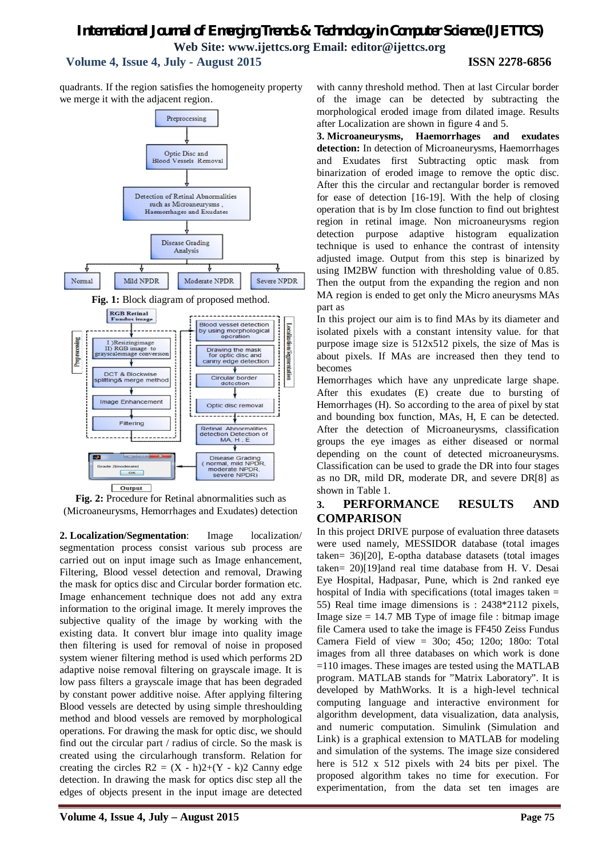# *International Journal of Emerging Trends & Technology in Computer Science (IJETTCS)* **Web Site: www.ijettcs.org Email: editor@ijettcs.org Volume 4, Issue 4, July - August 2015 ISSN 2278-6856**

quadrants. If the region satisfies the homogeneity property we merge it with the adjacent region.



**Fig. 2:** Procedure for Retinal abnormalities such as (Microaneurysms, Hemorrhages and Exudates) detection

**2. Localization/Segmentation**: Image localization/ segmentation process consist various sub process are carried out on input image such as Image enhancement, Filtering, Blood vessel detection and removal, Drawing the mask for optics disc and Circular border formation etc. Image enhancement technique does not add any extra information to the original image. It merely improves the subjective quality of the image by working with the existing data. It convert blur image into quality image then filtering is used for removal of noise in proposed system wiener filtering method is used which performs 2D adaptive noise removal filtering on grayscale image. It is low pass filters a grayscale image that has been degraded by constant power additive noise. After applying filtering Blood vessels are detected by using simple threshoulding method and blood vessels are removed by morphological operations. For drawing the mask for optic disc, we should find out the circular part / radius of circle. So the mask is created using the circularhough transform. Relation for creating the circles  $R2 = (X - h)2+(Y - k)2$  Canny edge detection. In drawing the mask for optics disc step all the edges of objects present in the input image are detected

with canny threshold method. Then at last Circular border of the image can be detected by subtracting the morphological eroded image from dilated image. Results after Localization are shown in figure 4 and 5.

**3. Microaneurysms, Haemorrhages and exudates detection:** In detection of Microaneurysms, Haemorrhages and Exudates first Subtracting optic mask from binarization of eroded image to remove the optic disc. After this the circular and rectangular border is removed for ease of detection [16-19]. With the help of closing operation that is by Im close function to find out brightest region in retinal image. Non microaneurysms region detection purpose adaptive histogram equalization technique is used to enhance the contrast of intensity adjusted image. Output from this step is binarized by using IM2BW function with thresholding value of 0.85. Then the output from the expanding the region and non MA region is ended to get only the Micro aneurysms MAs part as

In this project our aim is to find MAs by its diameter and isolated pixels with a constant intensity value. for that purpose image size is 512x512 pixels, the size of Mas is about pixels. If MAs are increased then they tend to becomes

Hemorrhages which have any unpredicate large shape. After this exudates (E) create due to bursting of Hemorrhages (H). So according to the area of pixel by stat and bounding box function, MAs, H, E can be detected. After the detection of Microaneurysms, classification groups the eye images as either diseased or normal depending on the count of detected microaneurysms. Classification can be used to grade the DR into four stages as no DR, mild DR, moderate DR, and severe DR[8] as shown in Table 1.

### **3. PERFORMANCE RESULTS AND COMPARISON**

In this project DRIVE purpose of evaluation three datasets were used namely, MESSIDOR database (total images taken= 36)[20], E-optha database datasets (total images taken= 20)[19]and real time database from H. V. Desai Eye Hospital, Hadpasar, Pune, which is 2nd ranked eye hospital of India with specifications (total images taken  $=$ 55) Real time image dimensions is : 2438\*2112 pixels, Image size  $= 14.7$  MB Type of image file : bitmap image file Camera used to take the image is FF450 Zeiss Fundus Camera Field of view = 30o; 45o; 120o; 180o: Total images from all three databases on which work is done =110 images. These images are tested using the MATLAB program. MATLAB stands for "Matrix Laboratory". It is developed by MathWorks. It is a high-level technical computing language and interactive environment for algorithm development, data visualization, data analysis, and numeric computation. Simulink (Simulation and Link) is a graphical extension to MATLAB for modeling and simulation of the systems. The image size considered here is 512 x 512 pixels with 24 bits per pixel. The proposed algorithm takes no time for execution. For experimentation, from the data set ten images are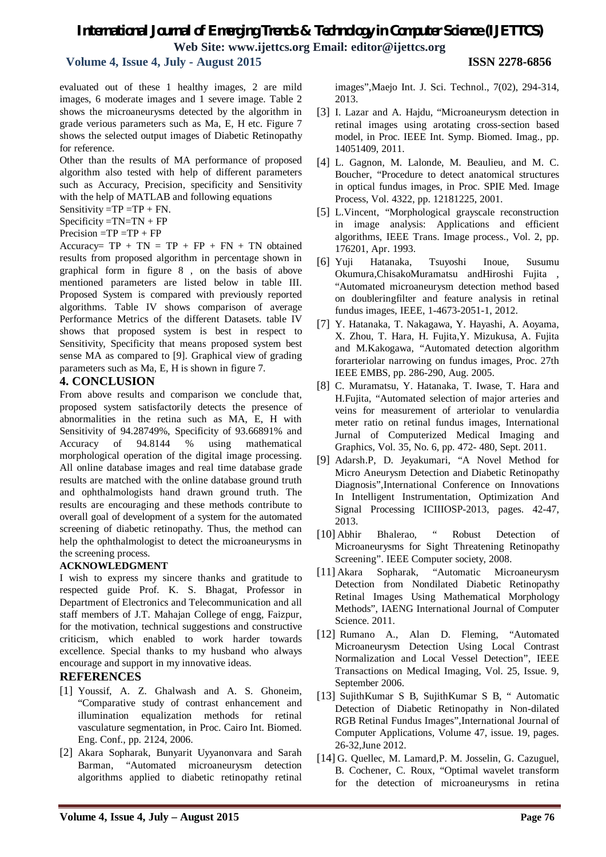# *International Journal of Emerging Trends & Technology in Computer Science (IJETTCS)* **Web Site: www.ijettcs.org Email: editor@ijettcs.org**

# **Volume 4, Issue 4, July - August 2015 ISSN 2278-6856**

evaluated out of these 1 healthy images, 2 are mild images, 6 moderate images and 1 severe image. Table 2 shows the microaneurysms detected by the algorithm in grade verious parameters such as Ma, E, H etc. Figure 7 shows the selected output images of Diabetic Retinopathy for reference.

Other than the results of MA performance of proposed algorithm also tested with help of different parameters such as Accuracy, Precision, specificity and Sensitivity with the help of MATLAB and following equations

Sensitivity  $=TP = TP + FN$ .

 $Specificity = TN = TN + FP$ 

#### $Precision = TP = TP + FP$

Accuracy=  $TP + TN = TP + FP + FN + TN$  obtained results from proposed algorithm in percentage shown in graphical form in figure 8 , on the basis of above mentioned parameters are listed below in table III. Proposed System is compared with previously reported algorithms. Table IV shows comparison of average Performance Metrics of the different Datasets. table IV shows that proposed system is best in respect to Sensitivity, Specificity that means proposed system best sense MA as compared to [9]. Graphical view of grading parameters such as Ma, E, H is shown in figure 7.

### **4. CONCLUSION**

From above results and comparison we conclude that, proposed system satisfactorily detects the presence of abnormalities in the retina such as MA, E, H with Sensitivity of 94.28749%, Specificity of 93.66891% and Accuracy of 94.8144 % using mathematical morphological operation of the digital image processing. All online database images and real time database grade results are matched with the online database ground truth and ophthalmologists hand drawn ground truth. The results are encouraging and these methods contribute to overall goal of development of a system for the automated screening of diabetic retinopathy. Thus, the method can help the ophthalmologist to detect the microaneurysms in the screening process.

#### **ACKNOWLEDGMENT**

I wish to express my sincere thanks and gratitude to respected guide Prof. K. S. Bhagat, Professor in Department of Electronics and Telecommunication and all staff members of J.T. Mahajan College of engg, Faizpur, for the motivation, technical suggestions and constructive criticism, which enabled to work harder towards excellence. Special thanks to my husband who always encourage and support in my innovative ideas.

#### **REFERENCES**

- [1] Youssif, A. Z. Ghalwash and A. S. Ghoneim, "Comparative study of contrast enhancement and illumination equalization methods for retinal vasculature segmentation, in Proc. Cairo Int. Biomed. Eng. Conf., pp. 2124, 2006.
- [2] Akara Sopharak, Bunyarit Uyyanonvara and Sarah Barman, "Automated microaneurysm detection algorithms applied to diabetic retinopathy retinal

images",Maejo Int. J. Sci. Technol., 7(02), 294-314, 2013.

- [3] I. Lazar and A. Hajdu, "Microaneurysm detection in retinal images using arotating cross-section based model, in Proc. IEEE Int. Symp. Biomed. Imag., pp. 14051409, 2011.
- [4] L. Gagnon, M. Lalonde, M. Beaulieu, and M. C. Boucher, "Procedure to detect anatomical structures in optical fundus images, in Proc. SPIE Med. Image Process, Vol. 4322, pp. 12181225, 2001.
- [5] L.Vincent, "Morphological grayscale reconstruction in image analysis: Applications and efficient algorithms, IEEE Trans. Image process., Vol. 2, pp. 176201, Apr. 1993.
- [6] Yuji Hatanaka, Tsuyoshi Inoue, Susumu Okumura,ChisakoMuramatsu andHiroshi Fujita , "Automated microaneurysm detection method based on doubleringfilter and feature analysis in retinal fundus images, IEEE, 1-4673-2051-1, 2012.
- [7] Y. Hatanaka, T. Nakagawa, Y. Hayashi, A. Aoyama, X. Zhou, T. Hara, H. Fujita,Y. Mizukusa, A. Fujita and M.Kakogawa, "Automated detection algorithm forarteriolar narrowing on fundus images, Proc. 27th IEEE EMBS, pp. 286-290, Aug. 2005.
- [8] C. Muramatsu, Y. Hatanaka, T. Iwase, T. Hara and H.Fujita, "Automated selection of major arteries and veins for measurement of arteriolar to venulardia meter ratio on retinal fundus images, International Jurnal of Computerized Medical Imaging and Graphics, Vol. 35, No. 6, pp. 472- 480, Sept. 2011.
- [9] Adarsh.P, D. Jeyakumari, "A Novel Method for Micro Aneurysm Detection and Diabetic Retinopathy Diagnosis",International Conference on Innovations In Intelligent Instrumentation, Optimization And Signal Processing ICIIIOSP-2013, pages. 42-47, 2013.
- [10] Abhir Bhalerao, " Robust Detection of Microaneurysms for Sight Threatening Retinopathy Screening". IEEE Computer society, 2008.
- [11] Akara Sopharak, "Automatic Microaneurysm Detection from Nondilated Diabetic Retinopathy Retinal Images Using Mathematical Morphology Methods", IAENG International Journal of Computer Science. 2011.
- [12] Rumano A., Alan D. Fleming, "Automated Microaneurysm Detection Using Local Contrast Normalization and Local Vessel Detection", IEEE Transactions on Medical Imaging, Vol. 25, Issue. 9, September 2006.
- [13] SujithKumar S B, SujithKumar S B, " Automatic Detection of Diabetic Retinopathy in Non-dilated RGB Retinal Fundus Images",International Journal of Computer Applications, Volume 47, issue. 19, pages. 26-32,June 2012.
- [14] G. Quellec, M. Lamard, P. M. Josselin, G. Cazuguel, B. Cochener, C. Roux, "Optimal wavelet transform for the detection of microaneurysms in retina